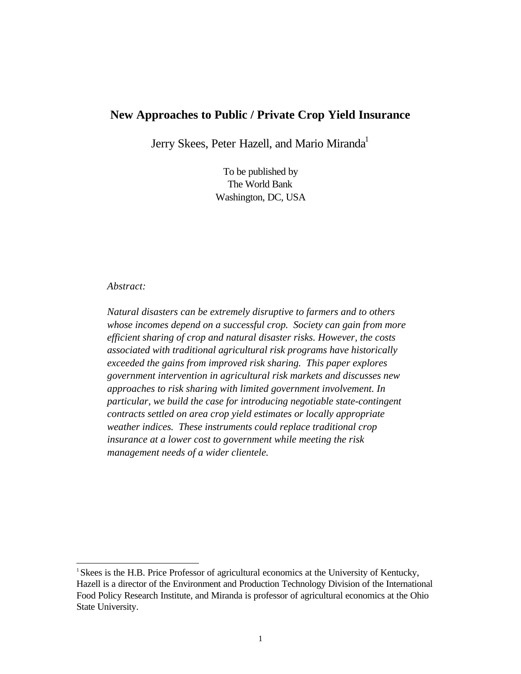# **New Approaches to Public / Private Crop Yield Insurance**

Jerry Skees, Peter Hazell, and Mario Miranda<sup>1</sup>

To be published by The World Bank Washington, DC, USA

# *Abstract:*

l

*Natural disasters can be extremely disruptive to farmers and to others whose incomes depend on a successful crop. Society can gain from more efficient sharing of crop and natural disaster risks. However, the costs associated with traditional agricultural risk programs have historically exceeded the gains from improved risk sharing. This paper explores government intervention in agricultural risk markets and discusses new approaches to risk sharing with limited government involvement. In particular, we build the case for introducing negotiable state-contingent contracts settled on area crop yield estimates or locally appropriate weather indices. These instruments could replace traditional crop insurance at a lower cost to government while meeting the risk management needs of a wider clientele.*

<sup>&</sup>lt;sup>1</sup> Skees is the H.B. Price Professor of agricultural economics at the University of Kentucky, Hazell is a director of the Environment and Production Technology Division of the International Food Policy Research Institute, and Miranda is professor of agricultural economics at the Ohio State University.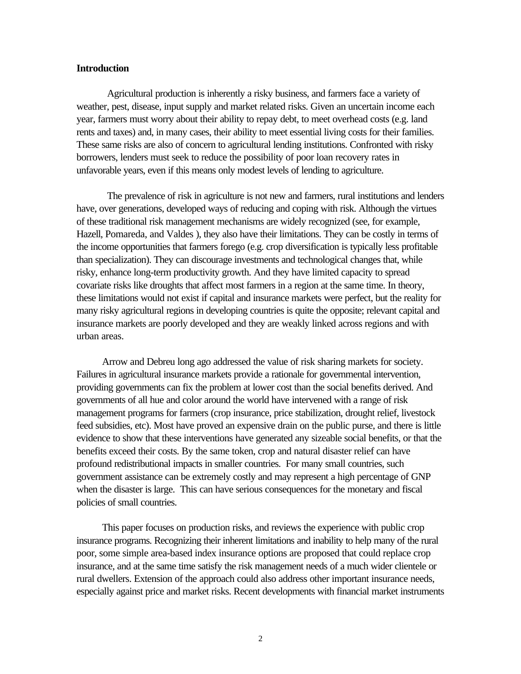# **Introduction**

Agricultural production is inherently a risky business, and farmers face a variety of weather, pest, disease, input supply and market related risks. Given an uncertain income each year, farmers must worry about their ability to repay debt, to meet overhead costs (e.g. land rents and taxes) and, in many cases, their ability to meet essential living costs for their families. These same risks are also of concern to agricultural lending institutions. Confronted with risky borrowers, lenders must seek to reduce the possibility of poor loan recovery rates in unfavorable years, even if this means only modest levels of lending to agriculture.

The prevalence of risk in agriculture is not new and farmers, rural institutions and lenders have, over generations, developed ways of reducing and coping with risk. Although the virtues of these traditional risk management mechanisms are widely recognized (see, for example, Hazell, Pomareda, and Valdes ), they also have their limitations. They can be costly in terms of the income opportunities that farmers forego (e.g. crop diversification is typically less profitable than specialization). They can discourage investments and technological changes that, while risky, enhance long-term productivity growth. And they have limited capacity to spread covariate risks like droughts that affect most farmers in a region at the same time. In theory, these limitations would not exist if capital and insurance markets were perfect, but the reality for many risky agricultural regions in developing countries is quite the opposite; relevant capital and insurance markets are poorly developed and they are weakly linked across regions and with urban areas.

Arrow and Debreu long ago addressed the value of risk sharing markets for society. Failures in agricultural insurance markets provide a rationale for governmental intervention, providing governments can fix the problem at lower cost than the social benefits derived. And governments of all hue and color around the world have intervened with a range of risk management programs for farmers (crop insurance, price stabilization, drought relief, livestock feed subsidies, etc). Most have proved an expensive drain on the public purse, and there is little evidence to show that these interventions have generated any sizeable social benefits, or that the benefits exceed their costs. By the same token, crop and natural disaster relief can have profound redistributional impacts in smaller countries. For many small countries, such government assistance can be extremely costly and may represent a high percentage of GNP when the disaster is large. This can have serious consequences for the monetary and fiscal policies of small countries.

This paper focuses on production risks, and reviews the experience with public crop insurance programs. Recognizing their inherent limitations and inability to help many of the rural poor, some simple area-based index insurance options are proposed that could replace crop insurance, and at the same time satisfy the risk management needs of a much wider clientele or rural dwellers. Extension of the approach could also address other important insurance needs, especially against price and market risks. Recent developments with financial market instruments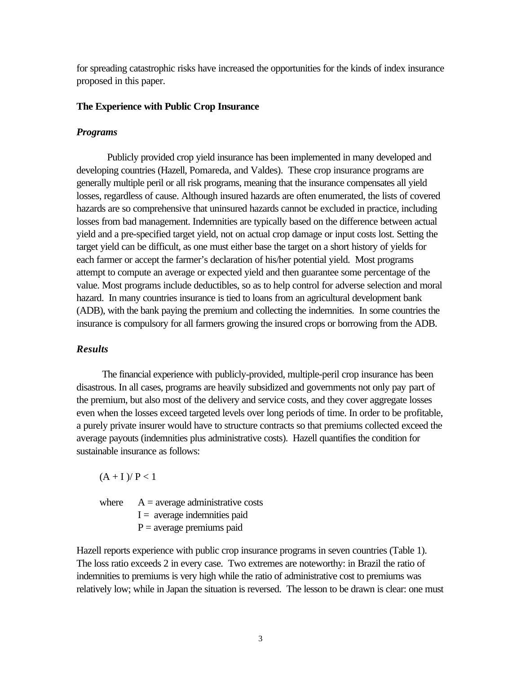for spreading catastrophic risks have increased the opportunities for the kinds of index insurance proposed in this paper.

## **The Experience with Public Crop Insurance**

#### *Programs*

Publicly provided crop yield insurance has been implemented in many developed and developing countries (Hazell, Pomareda, and Valdes). These crop insurance programs are generally multiple peril or all risk programs, meaning that the insurance compensates all yield losses, regardless of cause. Although insured hazards are often enumerated, the lists of covered hazards are so comprehensive that uninsured hazards cannot be excluded in practice, including losses from bad management. Indemnities are typically based on the difference between actual yield and a pre-specified target yield, not on actual crop damage or input costs lost. Setting the target yield can be difficult, as one must either base the target on a short history of yields for each farmer or accept the farmer's declaration of his/her potential yield. Most programs attempt to compute an average or expected yield and then guarantee some percentage of the value. Most programs include deductibles, so as to help control for adverse selection and moral hazard. In many countries insurance is tied to loans from an agricultural development bank (ADB), with the bank paying the premium and collecting the indemnities. In some countries the insurance is compulsory for all farmers growing the insured crops or borrowing from the ADB.

# *Results*

 The financial experience with publicly-provided, multiple-peril crop insurance has been disastrous. In all cases, programs are heavily subsidized and governments not only pay part of the premium, but also most of the delivery and service costs, and they cover aggregate losses even when the losses exceed targeted levels over long periods of time. In order to be profitable, a purely private insurer would have to structure contracts so that premiums collected exceed the average payouts (indemnities plus administrative costs). Hazell quantifies the condition for sustainable insurance as follows:

 $(A + I)$ / $P < 1$ 

where  $A = \text{average administrative costs}$  $I =$  average indemnities paid  $P =$  average premiums paid

Hazell reports experience with public crop insurance programs in seven countries (Table 1). The loss ratio exceeds 2 in every case. Two extremes are noteworthy: in Brazil the ratio of indemnities to premiums is very high while the ratio of administrative cost to premiums was relatively low; while in Japan the situation is reversed. The lesson to be drawn is clear: one must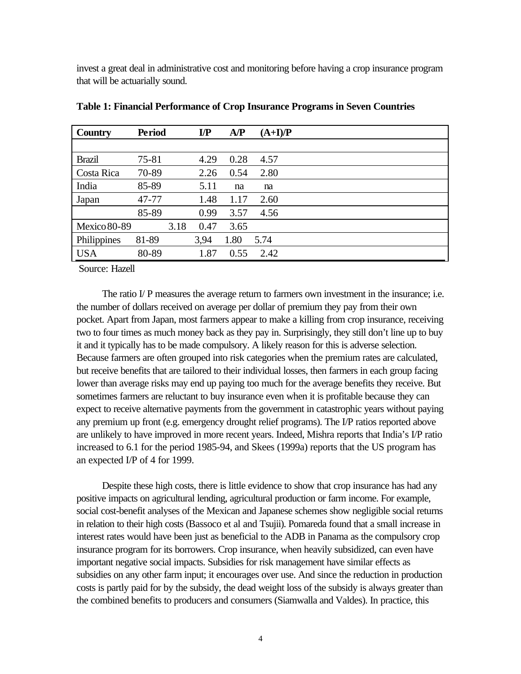invest a great deal in administrative cost and monitoring before having a crop insurance program that will be actuarially sound.

| Country             | <b>Period</b> |      | $\mathbf{IP}$ | AP   | $(A+I)/P$ |  |  |
|---------------------|---------------|------|---------------|------|-----------|--|--|
|                     |               |      |               |      |           |  |  |
| <b>Brazil</b>       | 75-81         |      | 4.29          | 0.28 | 4.57      |  |  |
| Costa Rica          | 70-89         |      | 2.26          | 0.54 | 2.80      |  |  |
| India               | 85-89         |      | 5.11          | na   | na        |  |  |
| Japan               | 47-77         |      | 1.48          | 1.17 | 2.60      |  |  |
|                     | 85-89         |      | 0.99          | 3.57 | 4.56      |  |  |
| <b>Mexico 80-89</b> |               | 3.18 | 0.47          | 3.65 |           |  |  |
| Philippines         | 81-89         |      | 3,94          | 1.80 | 5.74      |  |  |
| <b>USA</b>          | 80-89         |      | 1.87          | 0.55 | 2.42      |  |  |

**Table 1: Financial Performance of Crop Insurance Programs in Seven Countries**

Source: Hazell

The ratio I/ P measures the average return to farmers own investment in the insurance; i.e. the number of dollars received on average per dollar of premium they pay from their own pocket. Apart from Japan, most farmers appear to make a killing from crop insurance, receiving two to four times as much money back as they pay in. Surprisingly, they still don't line up to buy it and it typically has to be made compulsory. A likely reason for this is adverse selection. Because farmers are often grouped into risk categories when the premium rates are calculated, but receive benefits that are tailored to their individual losses, then farmers in each group facing lower than average risks may end up paying too much for the average benefits they receive. But sometimes farmers are reluctant to buy insurance even when it is profitable because they can expect to receive alternative payments from the government in catastrophic years without paying any premium up front (e.g. emergency drought relief programs). The I/P ratios reported above are unlikely to have improved in more recent years. Indeed, Mishra reports that India's I/P ratio increased to 6.1 for the period 1985-94, and Skees (1999a) reports that the US program has an expected I/P of 4 for 1999.

Despite these high costs, there is little evidence to show that crop insurance has had any positive impacts on agricultural lending, agricultural production or farm income. For example, social cost-benefit analyses of the Mexican and Japanese schemes show negligible social returns in relation to their high costs (Bassoco et al and Tsujii). Pomareda found that a small increase in interest rates would have been just as beneficial to the ADB in Panama as the compulsory crop insurance program for its borrowers. Crop insurance, when heavily subsidized, can even have important negative social impacts. Subsidies for risk management have similar effects as subsidies on any other farm input; it encourages over use. And since the reduction in production costs is partly paid for by the subsidy, the dead weight loss of the subsidy is always greater than the combined benefits to producers and consumers (Siamwalla and Valdes). In practice, this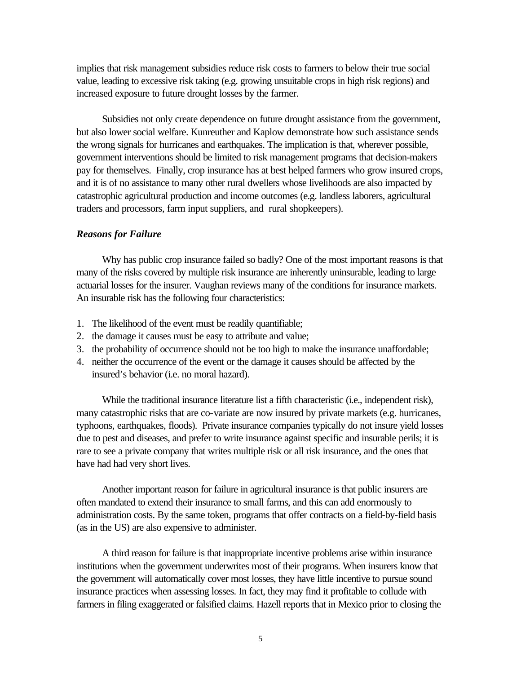implies that risk management subsidies reduce risk costs to farmers to below their true social value, leading to excessive risk taking (e.g. growing unsuitable crops in high risk regions) and increased exposure to future drought losses by the farmer.

Subsidies not only create dependence on future drought assistance from the government, but also lower social welfare. Kunreuther and Kaplow demonstrate how such assistance sends the wrong signals for hurricanes and earthquakes. The implication is that, wherever possible, government interventions should be limited to risk management programs that decision-makers pay for themselves. Finally, crop insurance has at best helped farmers who grow insured crops, and it is of no assistance to many other rural dwellers whose livelihoods are also impacted by catastrophic agricultural production and income outcomes (e.g. landless laborers, agricultural traders and processors, farm input suppliers, and rural shopkeepers).

### *Reasons for Failure*

Why has public crop insurance failed so badly? One of the most important reasons is that many of the risks covered by multiple risk insurance are inherently uninsurable, leading to large actuarial losses for the insurer. Vaughan reviews many of the conditions for insurance markets. An insurable risk has the following four characteristics:

- 1. The likelihood of the event must be readily quantifiable;
- 2. the damage it causes must be easy to attribute and value;
- 3. the probability of occurrence should not be too high to make the insurance unaffordable;
- 4. neither the occurrence of the event or the damage it causes should be affected by the insured's behavior (i.e. no moral hazard).

While the traditional insurance literature list a fifth characteristic (i.e., independent risk), many catastrophic risks that are co-variate are now insured by private markets (e.g. hurricanes, typhoons, earthquakes, floods). Private insurance companies typically do not insure yield losses due to pest and diseases, and prefer to write insurance against specific and insurable perils; it is rare to see a private company that writes multiple risk or all risk insurance, and the ones that have had had very short lives.

Another important reason for failure in agricultural insurance is that public insurers are often mandated to extend their insurance to small farms, and this can add enormously to administration costs. By the same token, programs that offer contracts on a field-by-field basis (as in the US) are also expensive to administer.

A third reason for failure is that inappropriate incentive problems arise within insurance institutions when the government underwrites most of their programs. When insurers know that the government will automatically cover most losses, they have little incentive to pursue sound insurance practices when assessing losses. In fact, they may find it profitable to collude with farmers in filing exaggerated or falsified claims. Hazell reports that in Mexico prior to closing the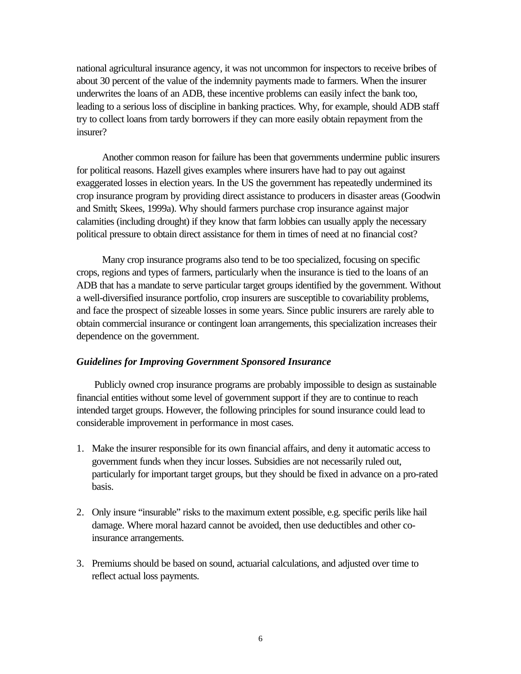national agricultural insurance agency, it was not uncommon for inspectors to receive bribes of about 30 percent of the value of the indemnity payments made to farmers. When the insurer underwrites the loans of an ADB, these incentive problems can easily infect the bank too, leading to a serious loss of discipline in banking practices. Why, for example, should ADB staff try to collect loans from tardy borrowers if they can more easily obtain repayment from the insurer?

Another common reason for failure has been that governments undermine public insurers for political reasons. Hazell gives examples where insurers have had to pay out against exaggerated losses in election years. In the US the government has repeatedly undermined its crop insurance program by providing direct assistance to producers in disaster areas (Goodwin and Smith; Skees, 1999a). Why should farmers purchase crop insurance against major calamities (including drought) if they know that farm lobbies can usually apply the necessary political pressure to obtain direct assistance for them in times of need at no financial cost?

Many crop insurance programs also tend to be too specialized, focusing on specific crops, regions and types of farmers, particularly when the insurance is tied to the loans of an ADB that has a mandate to serve particular target groups identified by the government. Without a well-diversified insurance portfolio, crop insurers are susceptible to covariability problems, and face the prospect of sizeable losses in some years. Since public insurers are rarely able to obtain commercial insurance or contingent loan arrangements, this specialization increases their dependence on the government.

### *Guidelines for Improving Government Sponsored Insurance*

 Publicly owned crop insurance programs are probably impossible to design as sustainable financial entities without some level of government support if they are to continue to reach intended target groups. However, the following principles for sound insurance could lead to considerable improvement in performance in most cases.

- 1. Make the insurer responsible for its own financial affairs, and deny it automatic access to government funds when they incur losses. Subsidies are not necessarily ruled out, particularly for important target groups, but they should be fixed in advance on a pro-rated basis.
- 2. Only insure "insurable" risks to the maximum extent possible, e.g. specific perils like hail damage. Where moral hazard cannot be avoided, then use deductibles and other coinsurance arrangements.
- 3. Premiums should be based on sound, actuarial calculations, and adjusted over time to reflect actual loss payments.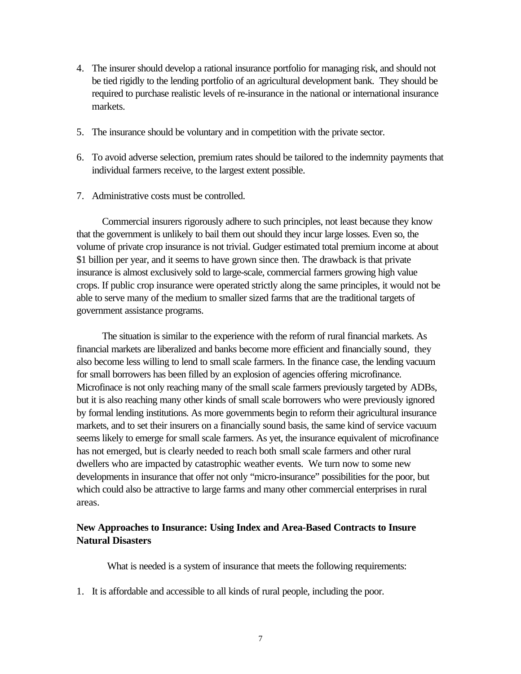- 4. The insurer should develop a rational insurance portfolio for managing risk, and should not be tied rigidly to the lending portfolio of an agricultural development bank. They should be required to purchase realistic levels of re-insurance in the national or international insurance markets.
- 5. The insurance should be voluntary and in competition with the private sector.
- 6. To avoid adverse selection, premium rates should be tailored to the indemnity payments that individual farmers receive, to the largest extent possible.
- 7. Administrative costs must be controlled.

Commercial insurers rigorously adhere to such principles, not least because they know that the government is unlikely to bail them out should they incur large losses. Even so, the volume of private crop insurance is not trivial. Gudger estimated total premium income at about \$1 billion per year, and it seems to have grown since then. The drawback is that private insurance is almost exclusively sold to large-scale, commercial farmers growing high value crops. If public crop insurance were operated strictly along the same principles, it would not be able to serve many of the medium to smaller sized farms that are the traditional targets of government assistance programs.

The situation is similar to the experience with the reform of rural financial markets. As financial markets are liberalized and banks become more efficient and financially sound, they also become less willing to lend to small scale farmers. In the finance case, the lending vacuum for small borrowers has been filled by an explosion of agencies offering microfinance. Microfinace is not only reaching many of the small scale farmers previously targeted by ADBs, but it is also reaching many other kinds of small scale borrowers who were previously ignored by formal lending institutions. As more governments begin to reform their agricultural insurance markets, and to set their insurers on a financially sound basis, the same kind of service vacuum seems likely to emerge for small scale farmers. As yet, the insurance equivalent of microfinance has not emerged, but is clearly needed to reach both small scale farmers and other rural dwellers who are impacted by catastrophic weather events. We turn now to some new developments in insurance that offer not only "micro-insurance" possibilities for the poor, but which could also be attractive to large farms and many other commercial enterprises in rural areas.

# **New Approaches to Insurance: Using Index and Area-Based Contracts to Insure Natural Disasters**

What is needed is a system of insurance that meets the following requirements:

1. It is affordable and accessible to all kinds of rural people, including the poor.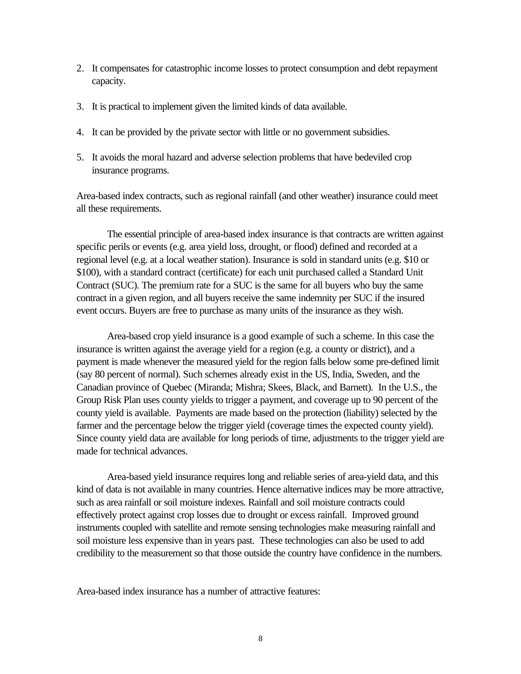- 2. It compensates for catastrophic income losses to protect consumption and debt repayment capacity.
- 3. It is practical to implement given the limited kinds of data available.
- 4. It can be provided by the private sector with little or no government subsidies.
- 5. It avoids the moral hazard and adverse selection problems that have bedeviled crop insurance programs.

Area-based index contracts, such as regional rainfall (and other weather) insurance could meet all these requirements.

The essential principle of area-based index insurance is that contracts are written against specific perils or events (e.g. area yield loss, drought, or flood) defined and recorded at a regional level (e.g. at a local weather station). Insurance is sold in standard units (e.g. \$10 or \$100), with a standard contract (certificate) for each unit purchased called a Standard Unit Contract (SUC). The premium rate for a SUC is the same for all buyers who buy the same contract in a given region, and all buyers receive the same indemnity per SUC if the insured event occurs. Buyers are free to purchase as many units of the insurance as they wish.

Area-based crop yield insurance is a good example of such a scheme. In this case the insurance is written against the average yield for a region (e.g. a county or district), and a payment is made whenever the measured yield for the region falls below some pre-defined limit (say 80 percent of normal). Such schemes already exist in the US, India, Sweden, and the Canadian province of Quebec (Miranda; Mishra; Skees, Black, and Barnett). In the U.S., the Group Risk Plan uses county yields to trigger a payment, and coverage up to 90 percent of the county yield is available. Payments are made based on the protection (liability) selected by the farmer and the percentage below the trigger yield (coverage times the expected county yield). Since county yield data are available for long periods of time, adjustments to the trigger yield are made for technical advances.

Area-based yield insurance requires long and reliable series of area-yield data, and this kind of data is not available in many countries. Hence alternative indices may be more attractive, such as area rainfall or soil moisture indexes. Rainfall and soil moisture contracts could effectively protect against crop losses due to drought or excess rainfall. Improved ground instruments coupled with satellite and remote sensing technologies make measuring rainfall and soil moisture less expensive than in years past. These technologies can also be used to add credibility to the measurement so that those outside the country have confidence in the numbers.

Area-based index insurance has a number of attractive features: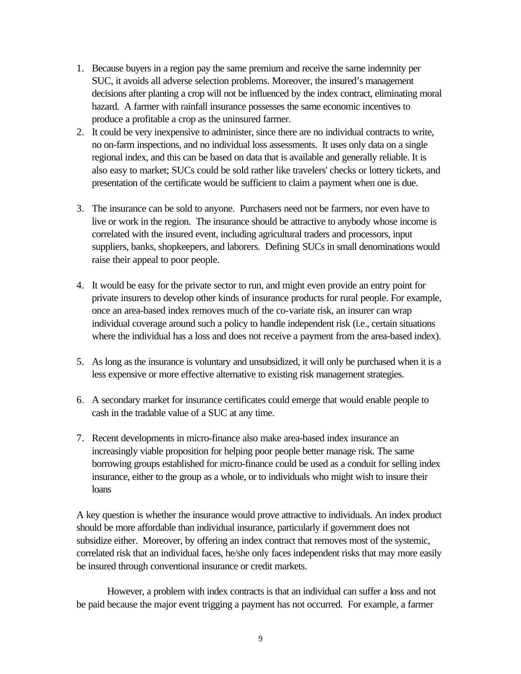- 1. Because buyers in a region pay the same premium and receive the same indemnity per SUC, it avoids all adverse selection problems. Moreover, the insured's management decisions after planting a crop will not be influenced by the index contract, eliminating moral hazard. A farmer with rainfall insurance possesses the same economic incentives to produce a profitable a crop as the uninsured farmer.
- 2. It could be very inexpensive to administer, since there are no individual contracts to write, no on-farm inspections, and no individual loss assessments. It uses only data on a single regional index, and this can be based on data that is available and generally reliable. It is also easy to market; SUCs could be sold rather like travelers' checks or lottery tickets, and presentation of the certificate would be sufficient to claim a payment when one is due.
- 3. The insurance can be sold to anyone. Purchasers need not be farmers, nor even have to live or work in the region. The insurance should be attractive to anybody whose income is correlated with the insured event, including agricultural traders and processors, input suppliers, banks, shopkeepers, and laborers. Defining SUCs in small denominations would raise their appeal to poor people.
- 4. It would be easy for the private sector to run, and might even provide an entry point for private insurers to develop other kinds of insurance products for rural people. For example, once an area-based index removes much of the co-variate risk, an insurer can wrap individual coverage around such a policy to handle independent risk (i.e., certain situations where the individual has a loss and does not receive a payment from the area-based index).
- 5. As long as the insurance is voluntary and unsubsidized, it will only be purchased when it is a less expensive or more effective alternative to existing risk management strategies.
- 6. A secondary market for insurance certificates could emerge that would enable people to cash in the tradable value of a SUC at any time.
- 7. Recent developments in micro-finance also make area-based index insurance an increasingly viable proposition for helping poor people better manage risk. The same borrowing groups established for micro-finance could be used as a conduit for selling index insurance, either to the group as a whole, or to individuals who might wish to insure their loans

A key question is whether the insurance would prove attractive to individuals. An index product should be more affordable than individual insurance, particularly if government does not subsidize either. Moreover, by offering an index contract that removes most of the systemic, correlated risk that an individual faces, he/she only faces independent risks that may more easily be insured through conventional insurance or credit markets.

However, a problem with index contracts is that an individual can suffer a loss and not be paid because the major event trigging a payment has not occurred. For example, a farmer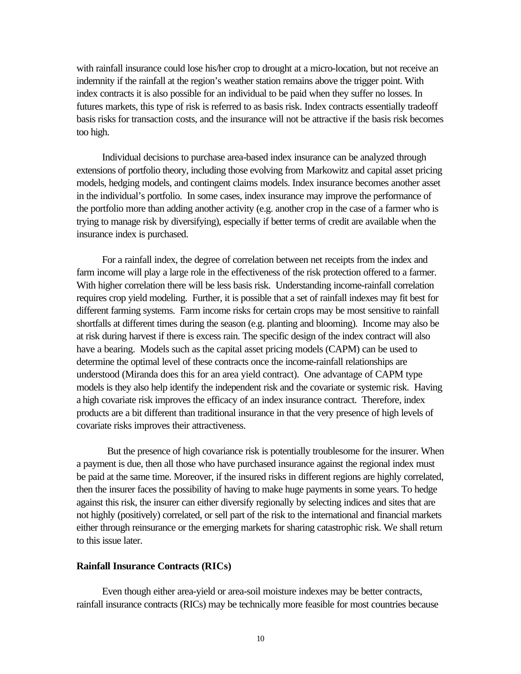with rainfall insurance could lose his/her crop to drought at a micro-location, but not receive an indemnity if the rainfall at the region's weather station remains above the trigger point. With index contracts it is also possible for an individual to be paid when they suffer no losses. In futures markets, this type of risk is referred to as basis risk. Index contracts essentially tradeoff basis risks for transaction costs, and the insurance will not be attractive if the basis risk becomes too high.

Individual decisions to purchase area-based index insurance can be analyzed through extensions of portfolio theory, including those evolving from Markowitz and capital asset pricing models, hedging models, and contingent claims models. Index insurance becomes another asset in the individual's portfolio. In some cases, index insurance may improve the performance of the portfolio more than adding another activity (e.g. another crop in the case of a farmer who is trying to manage risk by diversifying), especially if better terms of credit are available when the insurance index is purchased.

For a rainfall index, the degree of correlation between net receipts from the index and farm income will play a large role in the effectiveness of the risk protection offered to a farmer. With higher correlation there will be less basis risk. Understanding income-rainfall correlation requires crop yield modeling. Further, it is possible that a set of rainfall indexes may fit best for different farming systems. Farm income risks for certain crops may be most sensitive to rainfall shortfalls at different times during the season (e.g. planting and blooming). Income may also be at risk during harvest if there is excess rain. The specific design of the index contract will also have a bearing. Models such as the capital asset pricing models (CAPM) can be used to determine the optimal level of these contracts once the income-rainfall relationships are understood (Miranda does this for an area yield contract). One advantage of CAPM type models is they also help identify the independent risk and the covariate or systemic risk. Having a high covariate risk improves the efficacy of an index insurance contract. Therefore, index products are a bit different than traditional insurance in that the very presence of high levels of covariate risks improves their attractiveness.

But the presence of high covariance risk is potentially troublesome for the insurer. When a payment is due, then all those who have purchased insurance against the regional index must be paid at the same time. Moreover, if the insured risks in different regions are highly correlated, then the insurer faces the possibility of having to make huge payments in some years. To hedge against this risk, the insurer can either diversify regionally by selecting indices and sites that are not highly (positively) correlated, or sell part of the risk to the international and financial markets either through reinsurance or the emerging markets for sharing catastrophic risk. We shall return to this issue later.

# **Rainfall Insurance Contracts (RICs)**

Even though either area-yield or area-soil moisture indexes may be better contracts, rainfall insurance contracts (RICs) may be technically more feasible for most countries because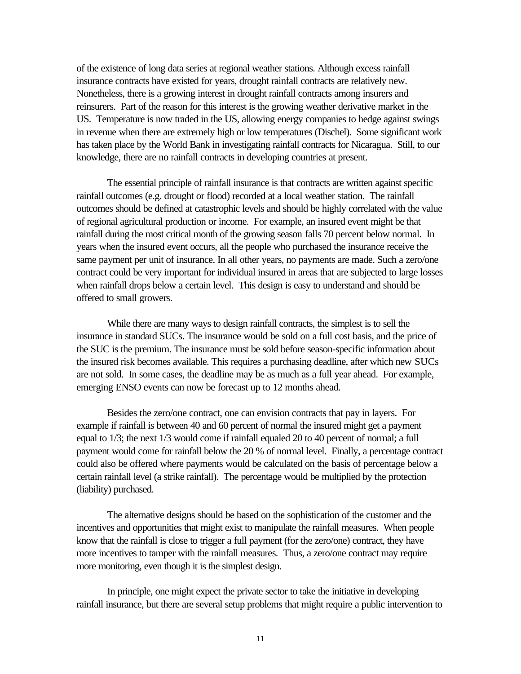of the existence of long data series at regional weather stations. Although excess rainfall insurance contracts have existed for years, drought rainfall contracts are relatively new. Nonetheless, there is a growing interest in drought rainfall contracts among insurers and reinsurers. Part of the reason for this interest is the growing weather derivative market in the US. Temperature is now traded in the US, allowing energy companies to hedge against swings in revenue when there are extremely high or low temperatures (Dischel). Some significant work has taken place by the World Bank in investigating rainfall contracts for Nicaragua. Still, to our knowledge, there are no rainfall contracts in developing countries at present.

The essential principle of rainfall insurance is that contracts are written against specific rainfall outcomes (e.g. drought or flood) recorded at a local weather station. The rainfall outcomes should be defined at catastrophic levels and should be highly correlated with the value of regional agricultural production or income. For example, an insured event might be that rainfall during the most critical month of the growing season falls 70 percent below normal. In years when the insured event occurs, all the people who purchased the insurance receive the same payment per unit of insurance. In all other years, no payments are made. Such a zero/one contract could be very important for individual insured in areas that are subjected to large losses when rainfall drops below a certain level. This design is easy to understand and should be offered to small growers.

While there are many ways to design rainfall contracts, the simplest is to sell the insurance in standard SUCs. The insurance would be sold on a full cost basis, and the price of the SUC is the premium. The insurance must be sold before season-specific information about the insured risk becomes available. This requires a purchasing deadline, after which new SUCs are not sold. In some cases, the deadline may be as much as a full year ahead. For example, emerging ENSO events can now be forecast up to 12 months ahead.

Besides the zero/one contract, one can envision contracts that pay in layers. For example if rainfall is between 40 and 60 percent of normal the insured might get a payment equal to 1/3; the next 1/3 would come if rainfall equaled 20 to 40 percent of normal; a full payment would come for rainfall below the 20 % of normal level. Finally, a percentage contract could also be offered where payments would be calculated on the basis of percentage below a certain rainfall level (a strike rainfall). The percentage would be multiplied by the protection (liability) purchased.

The alternative designs should be based on the sophistication of the customer and the incentives and opportunities that might exist to manipulate the rainfall measures. When people know that the rainfall is close to trigger a full payment (for the zero/one) contract, they have more incentives to tamper with the rainfall measures. Thus, a zero/one contract may require more monitoring, even though it is the simplest design.

In principle, one might expect the private sector to take the initiative in developing rainfall insurance, but there are several setup problems that might require a public intervention to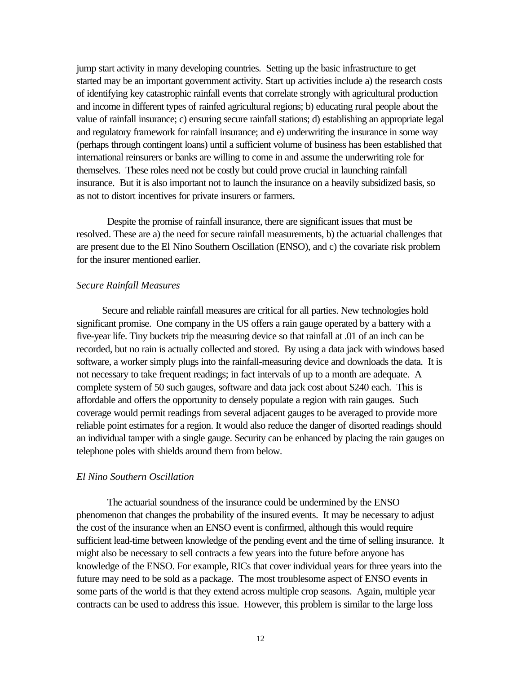jump start activity in many developing countries. Setting up the basic infrastructure to get started may be an important government activity. Start up activities include a) the research costs of identifying key catastrophic rainfall events that correlate strongly with agricultural production and income in different types of rainfed agricultural regions; b) educating rural people about the value of rainfall insurance; c) ensuring secure rainfall stations; d) establishing an appropriate legal and regulatory framework for rainfall insurance; and e) underwriting the insurance in some way (perhaps through contingent loans) until a sufficient volume of business has been established that international reinsurers or banks are willing to come in and assume the underwriting role for themselves. These roles need not be costly but could prove crucial in launching rainfall insurance. But it is also important not to launch the insurance on a heavily subsidized basis, so as not to distort incentives for private insurers or farmers.

Despite the promise of rainfall insurance, there are significant issues that must be resolved. These are a) the need for secure rainfall measurements, b) the actuarial challenges that are present due to the El Nino Southern Oscillation (ENSO), and c) the covariate risk problem for the insurer mentioned earlier.

# *Secure Rainfall Measures*

Secure and reliable rainfall measures are critical for all parties. New technologies hold significant promise. One company in the US offers a rain gauge operated by a battery with a five-year life. Tiny buckets trip the measuring device so that rainfall at .01 of an inch can be recorded, but no rain is actually collected and stored. By using a data jack with windows based software, a worker simply plugs into the rainfall-measuring device and downloads the data. It is not necessary to take frequent readings; in fact intervals of up to a month are adequate. A complete system of 50 such gauges, software and data jack cost about \$240 each. This is affordable and offers the opportunity to densely populate a region with rain gauges. Such coverage would permit readings from several adjacent gauges to be averaged to provide more reliable point estimates for a region. It would also reduce the danger of disorted readings should an individual tamper with a single gauge. Security can be enhanced by placing the rain gauges on telephone poles with shields around them from below.

# *El Nino Southern Oscillation*

The actuarial soundness of the insurance could be undermined by the ENSO phenomenon that changes the probability of the insured events. It may be necessary to adjust the cost of the insurance when an ENSO event is confirmed, although this would require sufficient lead-time between knowledge of the pending event and the time of selling insurance. It might also be necessary to sell contracts a few years into the future before anyone has knowledge of the ENSO. For example, RICs that cover individual years for three years into the future may need to be sold as a package. The most troublesome aspect of ENSO events in some parts of the world is that they extend across multiple crop seasons. Again, multiple year contracts can be used to address this issue. However, this problem is similar to the large loss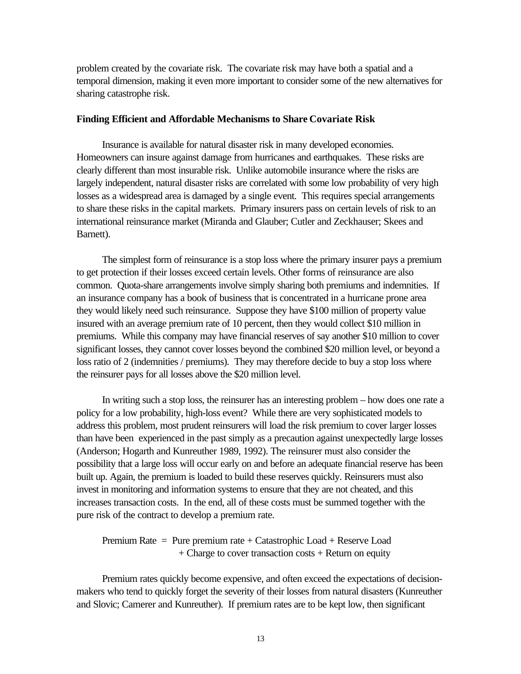problem created by the covariate risk. The covariate risk may have both a spatial and a temporal dimension, making it even more important to consider some of the new alternatives for sharing catastrophe risk.

#### **Finding Efficient and Affordable Mechanisms to Share Covariate Risk**

Insurance is available for natural disaster risk in many developed economies. Homeowners can insure against damage from hurricanes and earthquakes. These risks are clearly different than most insurable risk. Unlike automobile insurance where the risks are largely independent, natural disaster risks are correlated with some low probability of very high losses as a widespread area is damaged by a single event. This requires special arrangements to share these risks in the capital markets. Primary insurers pass on certain levels of risk to an international reinsurance market (Miranda and Glauber; Cutler and Zeckhauser; Skees and Barnett).

The simplest form of reinsurance is a stop loss where the primary insurer pays a premium to get protection if their losses exceed certain levels. Other forms of reinsurance are also common. Quota-share arrangements involve simply sharing both premiums and indemnities. If an insurance company has a book of business that is concentrated in a hurricane prone area they would likely need such reinsurance. Suppose they have \$100 million of property value insured with an average premium rate of 10 percent, then they would collect \$10 million in premiums. While this company may have financial reserves of say another \$10 million to cover significant losses, they cannot cover losses beyond the combined \$20 million level, or beyond a loss ratio of 2 (indemnities / premiums). They may therefore decide to buy a stop loss where the reinsurer pays for all losses above the \$20 million level.

In writing such a stop loss, the reinsurer has an interesting problem – how does one rate a policy for a low probability, high-loss event? While there are very sophisticated models to address this problem, most prudent reinsurers will load the risk premium to cover larger losses than have been experienced in the past simply as a precaution against unexpectedly large losses (Anderson; Hogarth and Kunreuther 1989, 1992). The reinsurer must also consider the possibility that a large loss will occur early on and before an adequate financial reserve has been built up. Again, the premium is loaded to build these reserves quickly. Reinsurers must also invest in monitoring and information systems to ensure that they are not cheated, and this increases transaction costs. In the end, all of these costs must be summed together with the pure risk of the contract to develop a premium rate.

Premium Rate  $=$  Pure premium rate  $+$  Catastrophic Load  $+$  Reserve Load  $+$  Charge to cover transaction costs  $+$  Return on equity

Premium rates quickly become expensive, and often exceed the expectations of decisionmakers who tend to quickly forget the severity of their losses from natural disasters (Kunreuther and Slovic; Camerer and Kunreuther). If premium rates are to be kept low, then significant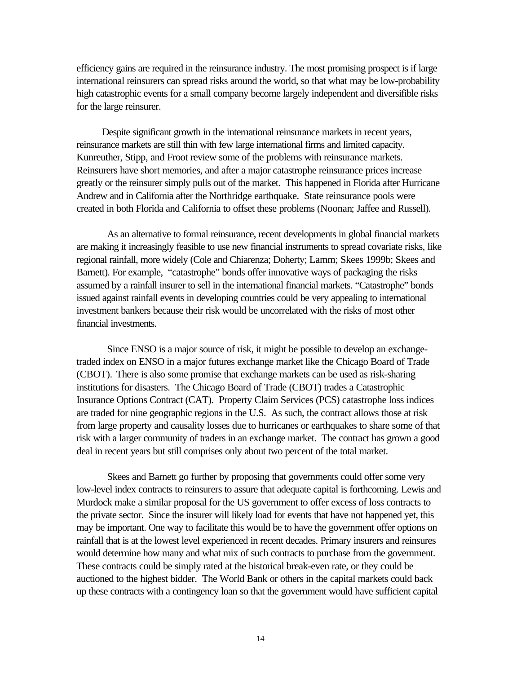efficiency gains are required in the reinsurance industry. The most promising prospect is if large international reinsurers can spread risks around the world, so that what may be low-probability high catastrophic events for a small company become largely independent and diversifible risks for the large reinsurer.

Despite significant growth in the international reinsurance markets in recent years, reinsurance markets are still thin with few large international firms and limited capacity. Kunreuther, Stipp, and Froot review some of the problems with reinsurance markets. Reinsurers have short memories, and after a major catastrophe reinsurance prices increase greatly or the reinsurer simply pulls out of the market. This happened in Florida after Hurricane Andrew and in California after the Northridge earthquake. State reinsurance pools were created in both Florida and California to offset these problems (Noonan; Jaffee and Russell).

As an alternative to formal reinsurance, recent developments in global financial markets are making it increasingly feasible to use new financial instruments to spread covariate risks, like regional rainfall, more widely (Cole and Chiarenza; Doherty; Lamm; Skees 1999b; Skees and Barnett). For example, "catastrophe" bonds offer innovative ways of packaging the risks assumed by a rainfall insurer to sell in the international financial markets. "Catastrophe" bonds issued against rainfall events in developing countries could be very appealing to international investment bankers because their risk would be uncorrelated with the risks of most other financial investments.

Since ENSO is a major source of risk, it might be possible to develop an exchangetraded index on ENSO in a major futures exchange market like the Chicago Board of Trade (CBOT). There is also some promise that exchange markets can be used as risk-sharing institutions for disasters. The Chicago Board of Trade (CBOT) trades a Catastrophic Insurance Options Contract (CAT). Property Claim Services (PCS) catastrophe loss indices are traded for nine geographic regions in the U.S. As such, the contract allows those at risk from large property and causality losses due to hurricanes or earthquakes to share some of that risk with a larger community of traders in an exchange market. The contract has grown a good deal in recent years but still comprises only about two percent of the total market.

Skees and Barnett go further by proposing that governments could offer some very low-level index contracts to reinsurers to assure that adequate capital is forthcoming. Lewis and Murdock make a similar proposal for the US government to offer excess of loss contracts to the private sector. Since the insurer will likely load for events that have not happened yet, this may be important. One way to facilitate this would be to have the government offer options on rainfall that is at the lowest level experienced in recent decades. Primary insurers and reinsures would determine how many and what mix of such contracts to purchase from the government. These contracts could be simply rated at the historical break-even rate, or they could be auctioned to the highest bidder. The World Bank or others in the capital markets could back up these contracts with a contingency loan so that the government would have sufficient capital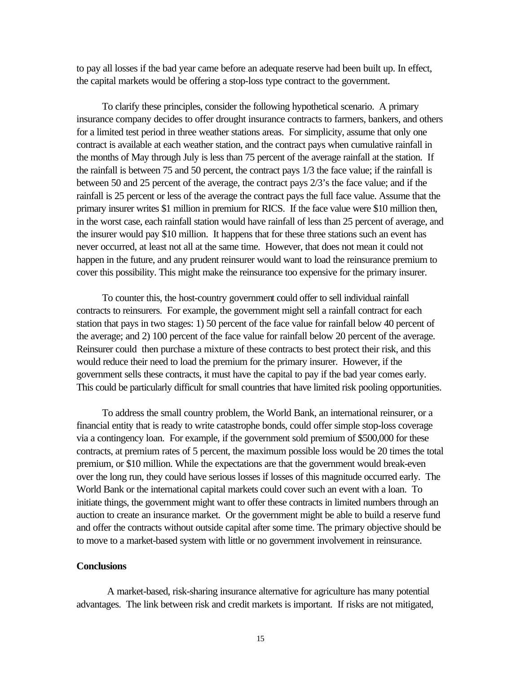to pay all losses if the bad year came before an adequate reserve had been built up. In effect, the capital markets would be offering a stop-loss type contract to the government.

To clarify these principles, consider the following hypothetical scenario. A primary insurance company decides to offer drought insurance contracts to farmers, bankers, and others for a limited test period in three weather stations areas. For simplicity, assume that only one contract is available at each weather station, and the contract pays when cumulative rainfall in the months of May through July is less than 75 percent of the average rainfall at the station. If the rainfall is between 75 and 50 percent, the contract pays 1/3 the face value; if the rainfall is between 50 and 25 percent of the average, the contract pays 2/3's the face value; and if the rainfall is 25 percent or less of the average the contract pays the full face value. Assume that the primary insurer writes \$1 million in premium for RICS. If the face value were \$10 million then, in the worst case, each rainfall station would have rainfall of less than 25 percent of average, and the insurer would pay \$10 million. It happens that for these three stations such an event has never occurred, at least not all at the same time. However, that does not mean it could not happen in the future, and any prudent reinsurer would want to load the reinsurance premium to cover this possibility. This might make the reinsurance too expensive for the primary insurer.

To counter this, the host-country government could offer to sell individual rainfall contracts to reinsurers. For example, the government might sell a rainfall contract for each station that pays in two stages: 1) 50 percent of the face value for rainfall below 40 percent of the average; and 2) 100 percent of the face value for rainfall below 20 percent of the average. Reinsurer could then purchase a mixture of these contracts to best protect their risk, and this would reduce their need to load the premium for the primary insurer. However, if the government sells these contracts, it must have the capital to pay if the bad year comes early. This could be particularly difficult for small countries that have limited risk pooling opportunities.

To address the small country problem, the World Bank, an international reinsurer, or a financial entity that is ready to write catastrophe bonds, could offer simple stop-loss coverage via a contingency loan. For example, if the government sold premium of \$500,000 for these contracts, at premium rates of 5 percent, the maximum possible loss would be 20 times the total premium, or \$10 million. While the expectations are that the government would break-even over the long run, they could have serious losses if losses of this magnitude occurred early. The World Bank or the international capital markets could cover such an event with a loan. To initiate things, the government might want to offer these contracts in limited numbers through an auction to create an insurance market. Or the government might be able to build a reserve fund and offer the contracts without outside capital after some time. The primary objective should be to move to a market-based system with little or no government involvement in reinsurance.

## **Conclusions**

A market-based, risk-sharing insurance alternative for agriculture has many potential advantages. The link between risk and credit markets is important. If risks are not mitigated,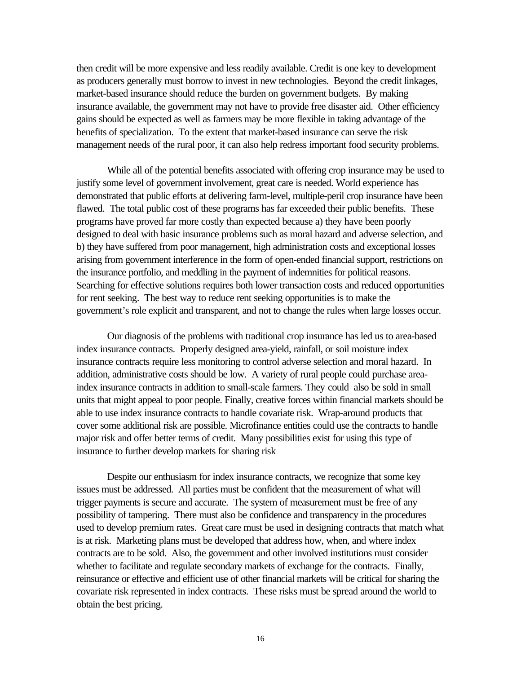then credit will be more expensive and less readily available. Credit is one key to development as producers generally must borrow to invest in new technologies. Beyond the credit linkages, market-based insurance should reduce the burden on government budgets. By making insurance available, the government may not have to provide free disaster aid. Other efficiency gains should be expected as well as farmers may be more flexible in taking advantage of the benefits of specialization. To the extent that market-based insurance can serve the risk management needs of the rural poor, it can also help redress important food security problems.

While all of the potential benefits associated with offering crop insurance may be used to justify some level of government involvement, great care is needed. World experience has demonstrated that public efforts at delivering farm-level, multiple-peril crop insurance have been flawed. The total public cost of these programs has far exceeded their public benefits. These programs have proved far more costly than expected because a) they have been poorly designed to deal with basic insurance problems such as moral hazard and adverse selection, and b) they have suffered from poor management, high administration costs and exceptional losses arising from government interference in the form of open-ended financial support, restrictions on the insurance portfolio, and meddling in the payment of indemnities for political reasons. Searching for effective solutions requires both lower transaction costs and reduced opportunities for rent seeking. The best way to reduce rent seeking opportunities is to make the government's role explicit and transparent, and not to change the rules when large losses occur.

Our diagnosis of the problems with traditional crop insurance has led us to area-based index insurance contracts. Properly designed area-yield, rainfall, or soil moisture index insurance contracts require less monitoring to control adverse selection and moral hazard. In addition, administrative costs should be low. A variety of rural people could purchase areaindex insurance contracts in addition to small-scale farmers. They could also be sold in small units that might appeal to poor people. Finally, creative forces within financial markets should be able to use index insurance contracts to handle covariate risk. Wrap-around products that cover some additional risk are possible. Microfinance entities could use the contracts to handle major risk and offer better terms of credit. Many possibilities exist for using this type of insurance to further develop markets for sharing risk

Despite our enthusiasm for index insurance contracts, we recognize that some key issues must be addressed. All parties must be confident that the measurement of what will trigger payments is secure and accurate. The system of measurement must be free of any possibility of tampering. There must also be confidence and transparency in the procedures used to develop premium rates. Great care must be used in designing contracts that match what is at risk. Marketing plans must be developed that address how, when, and where index contracts are to be sold. Also, the government and other involved institutions must consider whether to facilitate and regulate secondary markets of exchange for the contracts. Finally, reinsurance or effective and efficient use of other financial markets will be critical for sharing the covariate risk represented in index contracts. These risks must be spread around the world to obtain the best pricing.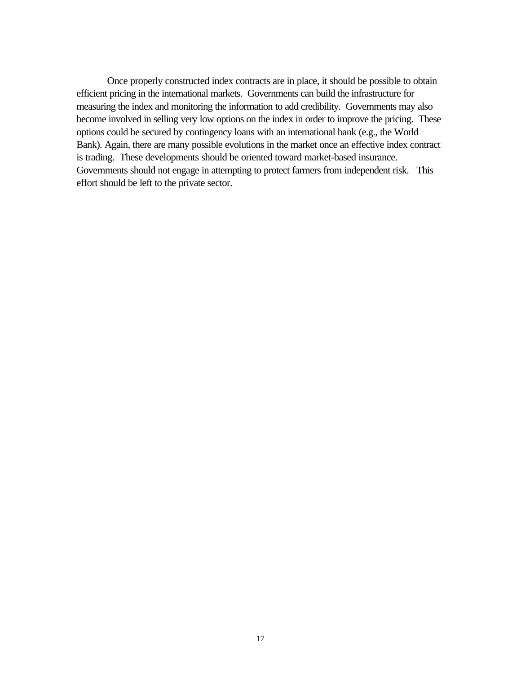Once properly constructed index contracts are in place, it should be possible to obtain efficient pricing in the international markets. Governments can build the infrastructure for measuring the index and monitoring the information to add credibility. Governments may also become involved in selling very low options on the index in order to improve the pricing. These options could be secured by contingency loans with an international bank (e.g., the World Bank). Again, there are many possible evolutions in the market once an effective index contract is trading. These developments should be oriented toward market-based insurance. Governments should not engage in attempting to protect farmers from independent risk. This effort should be left to the private sector.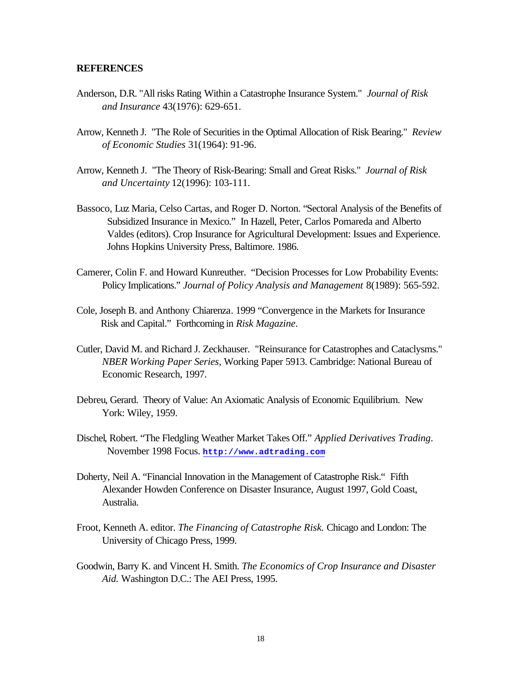## **REFERENCES**

- Anderson, D.R. "All risks Rating Within a Catastrophe Insurance System." *Journal of Risk and Insurance* 43(1976): 629-651.
- Arrow, Kenneth J. "The Role of Securities in the Optimal Allocation of Risk Bearing." *Review of Economic Studies* 31(1964): 91-96.
- Arrow, Kenneth J. "The Theory of Risk-Bearing: Small and Great Risks." *Journal of Risk and Uncertainty* 12(1996): 103-111.
- Bassoco, Luz Maria, Celso Cartas, and Roger D. Norton. "Sectoral Analysis of the Benefits of Subsidized Insurance in Mexico." In Hazell, Peter, Carlos Pomareda and Alberto Valdes (editors). Crop Insurance for Agricultural Development: Issues and Experience. Johns Hopkins University Press, Baltimore. 1986.
- Camerer, Colin F. and Howard Kunreuther. "Decision Processes for Low Probability Events: Policy Implications." *Journal of Policy Analysis and Management* 8(1989): 565-592.
- Cole, Joseph B. and Anthony Chiarenza. 1999 "Convergence in the Markets for Insurance Risk and Capital." Forthcoming in *Risk Magazine*.
- Cutler, David M. and Richard J. Zeckhauser. "Reinsurance for Catastrophes and Cataclysms." *NBER Working Paper Series,* Working Paper 5913. Cambridge: National Bureau of Economic Research, 1997.
- Debreu, Gerard. Theory of Value: An Axiomatic Analysis of Economic Equilibrium. New York: Wiley, 1959.
- Dischel, Robert. "The Fledgling Weather Market Takes Off." *Applied Derivatives Trading*. November 1998 Focus. **http://www.adtrading.com**
- Doherty, Neil A. "Financial Innovation in the Management of Catastrophe Risk." Fifth Alexander Howden Conference on Disaster Insurance, August 1997, Gold Coast, Australia.
- Froot, Kenneth A. editor. *The Financing of Catastrophe Risk.* Chicago and London: The University of Chicago Press, 1999.
- Goodwin, Barry K. and Vincent H. Smith. *The Economics of Crop Insurance and Disaster Aid.* Washington D.C.: The AEI Press, 1995.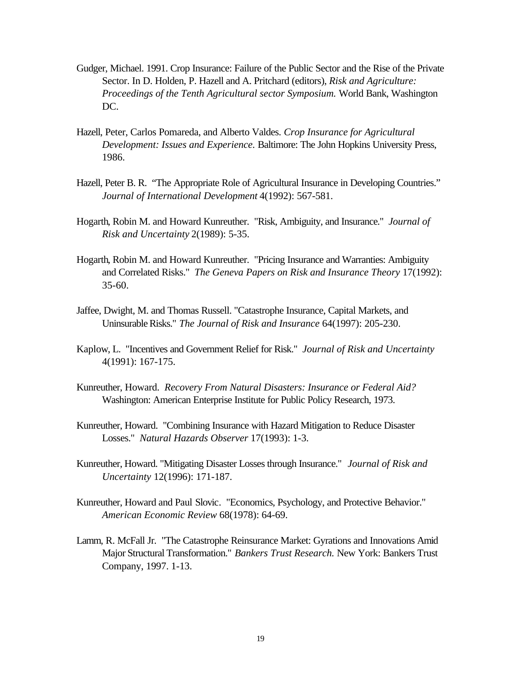- Gudger, Michael. 1991. Crop Insurance: Failure of the Public Sector and the Rise of the Private Sector. In D. Holden, P. Hazell and A. Pritchard (editors), *Risk and Agriculture: Proceedings of the Tenth Agricultural sector Symposium.* World Bank, Washington DC.
- Hazell, Peter, Carlos Pomareda, and Alberto Valdes. *Crop Insurance for Agricultural Development: Issues and Experience.* Baltimore: The John Hopkins University Press, 1986.
- Hazell, Peter B. R. "The Appropriate Role of Agricultural Insurance in Developing Countries." *Journal of International Development* 4(1992): 567-581.
- Hogarth, Robin M. and Howard Kunreuther. "Risk, Ambiguity, and Insurance." *Journal of Risk and Uncertainty* 2(1989): 5-35.
- Hogarth, Robin M. and Howard Kunreuther. "Pricing Insurance and Warranties: Ambiguity and Correlated Risks." *The Geneva Papers on Risk and Insurance Theory* 17(1992): 35-60.
- Jaffee, Dwight, M. and Thomas Russell. "Catastrophe Insurance, Capital Markets, and Uninsurable Risks." *The Journal of Risk and Insurance* 64(1997): 205-230.
- Kaplow, L. "Incentives and Government Relief for Risk." *Journal of Risk and Uncertainty* 4(1991): 167-175.
- Kunreuther, Howard. *Recovery From Natural Disasters: Insurance or Federal Aid?* Washington: American Enterprise Institute for Public Policy Research, 1973.
- Kunreuther, Howard. "Combining Insurance with Hazard Mitigation to Reduce Disaster Losses." *Natural Hazards Observer* 17(1993): 1-3.
- Kunreuther, Howard. "Mitigating Disaster Losses through Insurance." *Journal of Risk and Uncertainty* 12(1996): 171-187.
- Kunreuther, Howard and Paul Slovic. "Economics, Psychology, and Protective Behavior." *American Economic Review* 68(1978): 64-69.
- Lamm, R. McFall Jr. "The Catastrophe Reinsurance Market: Gyrations and Innovations Amid Major Structural Transformation." *Bankers Trust Research.* New York: Bankers Trust Company, 1997. 1-13.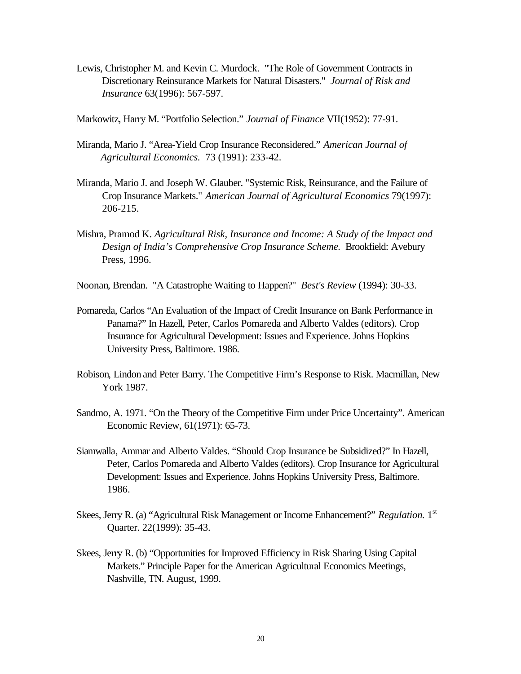Lewis, Christopher M. and Kevin C. Murdock. "The Role of Government Contracts in Discretionary Reinsurance Markets for Natural Disasters." *Journal of Risk and Insurance* 63(1996): 567-597.

Markowitz, Harry M. "Portfolio Selection." *Journal of Finance* VII(1952): 77-91.

- Miranda, Mario J. "Area-Yield Crop Insurance Reconsidered." *American Journal of Agricultural Economics.* 73 (1991): 233-42.
- Miranda, Mario J. and Joseph W. Glauber. "Systemic Risk, Reinsurance, and the Failure of Crop Insurance Markets." *American Journal of Agricultural Economics* 79(1997): 206-215.
- Mishra, Pramod K. *Agricultural Risk, Insurance and Income: A Study of the Impact and Design of India's Comprehensive Crop Insurance Scheme.* Brookfield: Avebury Press, 1996.
- Noonan, Brendan. "A Catastrophe Waiting to Happen?" *Best's Review* (1994): 30-33.
- Pomareda, Carlos "An Evaluation of the Impact of Credit Insurance on Bank Performance in Panama?" In Hazell, Peter, Carlos Pomareda and Alberto Valdes (editors). Crop Insurance for Agricultural Development: Issues and Experience. Johns Hopkins University Press, Baltimore. 1986.
- Robison, Lindon and Peter Barry. The Competitive Firm's Response to Risk. Macmillan, New York 1987.
- Sandmo, A. 1971. "On the Theory of the Competitive Firm under Price Uncertainty". American Economic Review, 61(1971): 65-73.
- Siamwalla, Ammar and Alberto Valdes. "Should Crop Insurance be Subsidized?" In Hazell, Peter, Carlos Pomareda and Alberto Valdes (editors). Crop Insurance for Agricultural Development: Issues and Experience. Johns Hopkins University Press, Baltimore. 1986.
- Skees, Jerry R. (a) "Agricultural Risk Management or Income Enhancement?" *Regulation*. 1<sup>st</sup> Quarter. 22(1999): 35-43.
- Skees, Jerry R. (b) "Opportunities for Improved Efficiency in Risk Sharing Using Capital Markets." Principle Paper for the American Agricultural Economics Meetings, Nashville, TN. August, 1999.